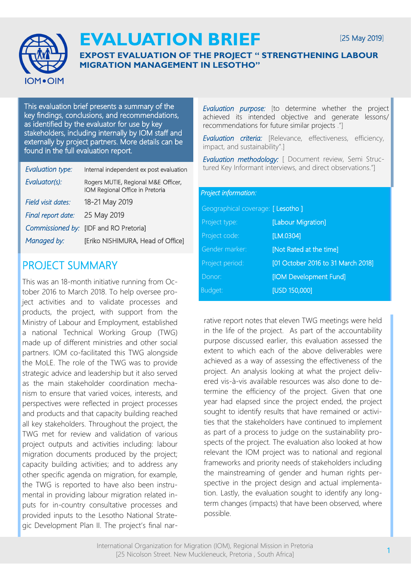

# **EVALUATION BRIEF**

## **EXPOST EVALUATION OF THE PROJECT " STRENGTHENING LABOUR MIGRATION MANAGEMENT IN LESOTHO"**

This evaluation brief presents a summary of the key findings, conclusions, and recommendations, as identified by the evaluator for use by key stakeholders, including internally by IOM staff and externally by project partners. More details can be found in the full evaluation report.

| Evaluation type:   | Internal independent ex post evaluation                                |
|--------------------|------------------------------------------------------------------------|
| Evaluator(s):      | Rogers MUTIE, Regional M&E Officer,<br>IOM Regional Office in Pretoria |
| Field visit dates: | 18-21 May 2019                                                         |
| Final report date: | 25 May 2019                                                            |
| Commissioned by:   | [IDF and RO Pretoria]                                                  |
| Managed by:        | [Eriko NISHIMURA, Head of Office]                                      |
|                    |                                                                        |

## PROJECT SUMMARY

This was an 18-month initiative running from October 2016 to March 2018. To help oversee project activities and to validate processes and products, the project, with support from the Ministry of Labour and Employment, established a national Technical Working Group (TWG) made up of different ministries and other social partners. IOM co-facilitated this TWG alongside the MoLE. The role of the TWG was to provide strategic advice and leadership but it also served as the main stakeholder coordination mechanism to ensure that varied voices, interests, and perspectives were reflected in project processes and products and that capacity building reached all key stakeholders. Throughout the project, the TWG met for review and validation of various project outputs and activities including: labour migration documents produced by the project; capacity building activities; and to address any other specific agenda on migration, for example, the TWG is reported to have also been instrumental in providing labour migration related inputs for in-country consultative processes and provided inputs to the Lesotho National Strategic Development Plan II. The project's final nar*Evaluation purpose:* [to determine whether the project achieved its intended objective and generate lessons/ recommendations for future similar projects ."]

*Evaluation criteria:* [Relevance, effectiveness, efficiency, impact, and sustainability".]

*Evaluation methodology:* [ Document review, Semi Structured Key Informant interviews, and direct observations."]

#### *Project information:*

| Geographical coverage: [ Lesotho ] |                                    |
|------------------------------------|------------------------------------|
| Project type:                      | [Labour Migration]                 |
| Project code:                      | [LM.0304]                          |
| Gender marker:                     | [Not Rated at the time]            |
| Project period:                    | [01 October 2016 to 31 March 2018] |
| Donor:                             | [IOM Development Fund]             |
| Budget:                            | <b>[USD 150,000]</b>               |

rative report notes that eleven TWG meetings were held in the life of the project. As part of the accountability purpose discussed earlier, this evaluation assessed the extent to which each of the above deliverables were achieved as a way of assessing the effectiveness of the project. An analysis looking at what the project delivered vis-à-vis available resources was also done to determine the efficiency of the project. Given that one year had elapsed since the project ended, the project sought to identify results that have remained or activities that the stakeholders have continued to implement as part of a process to judge on the sustainability prospects of the project. The evaluation also looked at how relevant the IOM project was to national and regional frameworks and priority needs of stakeholders including the mainstreaming of gender and human rights perspective in the project design and actual implementation. Lastly, the evaluation sought to identify any longterm changes (impacts) that have been observed, where possible.